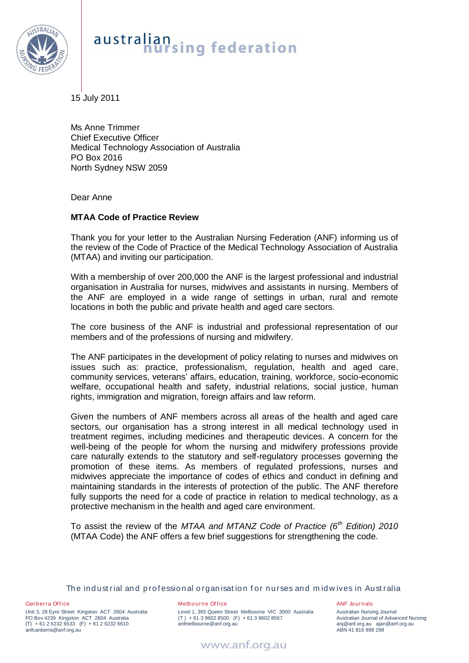

## australian<br>hursing federation

15 July 2011

Ms Anne Trimmer Chief Executive Officer Medical Technology Association of Australia PO Box 2016 North Sydney NSW 2059

Dear Anne

## **MTAA Code of Practice Review**

Thank you for your letter to the Australian Nursing Federation (ANF) informing us of the review of the Code of Practice of the Medical Technology Association of Australia (MTAA) and inviting our participation.

With a membership of over 200,000 the ANF is the largest professional and industrial organisation in Australia for nurses, midwives and assistants in nursing. Members of the ANF are employed in a wide range of settings in urban, rural and remote locations in both the public and private health and aged care sectors.

The core business of the ANF is industrial and professional representation of our members and of the professions of nursing and midwifery.

The ANF participates in the development of policy relating to nurses and midwives on issues such as: practice, professionalism, regulation, health and aged care, community services, veterans' affairs, education, training, workforce, socio-economic welfare, occupational health and safety, industrial relations, social justice, human rights, immigration and migration, foreign affairs and law reform.

Given the numbers of ANF members across all areas of the health and aged care sectors, our organisation has a strong interest in all medical technology used in treatment regimes, including medicines and therapeutic devices. A concern for the well-being of the people for whom the nursing and midwifery professions provide care naturally extends to the statutory and self-regulatory processes governing the promotion of these items. As members of regulated professions, nurses and midwives appreciate the importance of codes of ethics and conduct in defining and maintaining standards in the interests of protection of the public. The ANF therefore fully supports the need for a code of practice in relation to medical technology, as a protective mechanism in the health and aged care environment.

To assist the review of the *MTAA and MTANZ Code of Practice (6th Edition) 2010* (MTAA Code) the ANF offers a few brief suggestions for strengthening the code.

The industrial and professional organisation for nurses and midwives in Australia

Canberra Office Unit 3, 28 Eyre Street Kingston ACT 2604 Australia PO Box 4239 Kingston ACT 2604 Australia (T) + 61 2 6232 6533 (F) + 61 2 6232 6610 anfcanberra@anf.org.au

## Melbourne Office

Level 1, 365 Queen Street Melbourne VIC 3000 Australia  $(T) + 61396028500$  (F) + 61 3 9602 8567 anfmelbourne@anf.org.au

ANF Journals Australian Nursing Journal Australian Journal of Advanced Nursing anj@anf.org.au ajan@anf.org.au ABN 41 816 898 298

www.anf.org.au